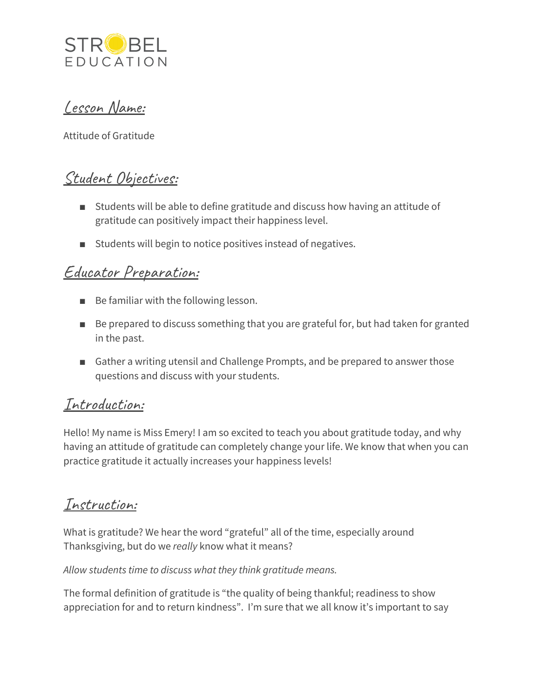

Lesson Name:

Attitude of Gratitude

## Student Objectives:

- Students will be able to define gratitude and discuss how having an attitude of gratitude can positively impact their happiness level.
- Students will begin to notice positives instead of negatives.

## Educator Preparation:

- Be familiar with the following lesson.
- Be prepared to discuss something that you are grateful for, but had taken for granted in the past.
- Gather a writing utensil and Challenge Prompts, and be prepared to answer those questions and discuss with your students.

### Introduction:

Hello! My name is Miss Emery! I am so excited to teach you about gratitude today, and why having an attitude of gratitude can completely change your life. We know that when you can practice gratitude it actually increases your happiness levels!

### Instruction:

What is gratitude? We hear the word "grateful" all of the time, especially around Thanksgiving, but do we *really* know what it means?

*Allow students time to discuss what they think gratitude means.*

The formal definition of gratitude is "the quality of being thankful; readiness to show appreciation for and to return kindness". I'm sure that we all know it's important to say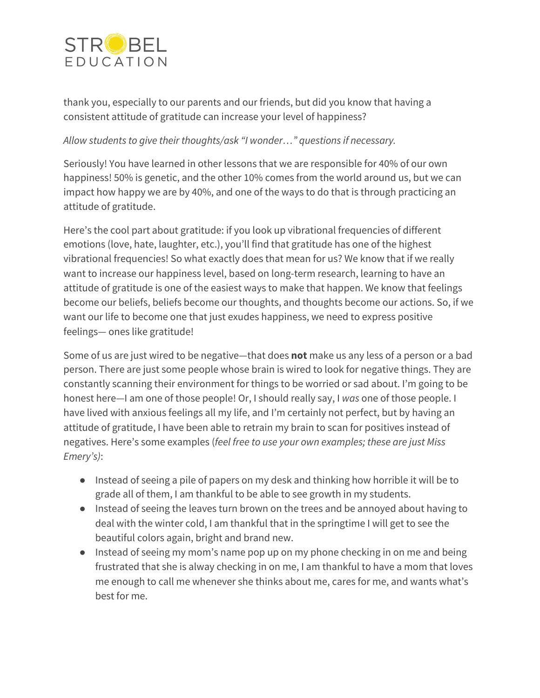

thank you, especially to our parents and our friends, but did you know that having a consistent attitude of gratitude can increase your level of happiness?

#### *Allow students to give their thoughts/ask "I wonder…" questions if necessary.*

Seriously! You have learned in other lessons that we are responsible for 40% of our own happiness! 50% is genetic, and the other 10% comes from the world around us, but we can impact how happy we are by 40%, and one of the ways to do that is through practicing an attitude of gratitude.

Here's the cool part about gratitude: if you look up vibrational frequencies of different emotions (love, hate, laughter, etc.), you'll find that gratitude has one of the highest vibrational frequencies! So what exactly does that mean for us? We know that if we really want to increase our happiness level, based on long-term research, learning to have an attitude of gratitude is one of the easiest ways to make that happen. We know that feelings become our beliefs, beliefs become our thoughts, and thoughts become our actions. So, if we want our life to become one that just exudes happiness, we need to express positive feelings— ones like gratitude!

Some of us are just wired to be negative—that does **not** make us any less of a person or a bad person. There are just some people whose brain is wired to look for negative things. They are constantly scanning their environment for things to be worried or sad about. I'm going to be honest here—I am one of those people! Or, I should really say, I *was* one of those people. I have lived with anxious feelings all my life, and I'm certainly not perfect, but by having an attitude of gratitude, I have been able to retrain my brain to scan for positives instead of negatives. Here's some examples (*feel free to use your own examples; these are just Miss Emery's)*:

- Instead of seeing a pile of papers on my desk and thinking how horrible it will be to grade all of them, I am thankful to be able to see growth in my students.
- Instead of seeing the leaves turn brown on the trees and be annoyed about having to deal with the winter cold, I am thankful that in the springtime I will get to see the beautiful colors again, bright and brand new.
- Instead of seeing my mom's name pop up on my phone checking in on me and being frustrated that she is alway checking in on me, I am thankful to have a mom that loves me enough to call me whenever she thinks about me, cares for me, and wants what's best for me.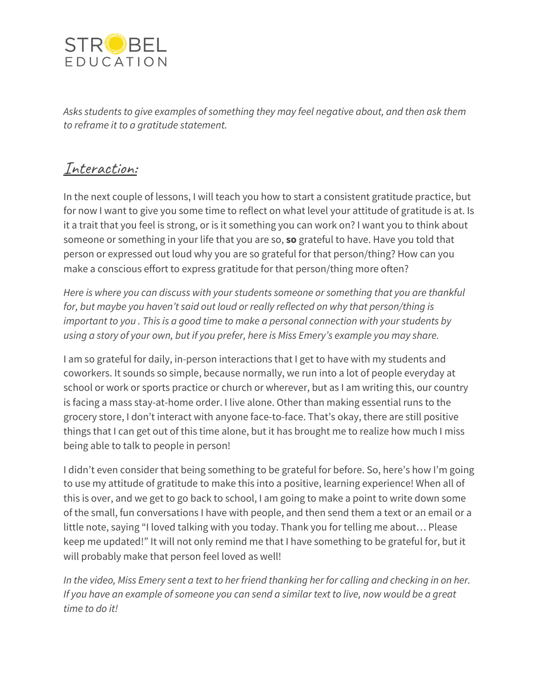

*Asks students to give examples of something they may feel negative about, and then ask them to reframe it to a gratitude statement.*

### Interaction:

In the next couple of lessons, I will teach you how to start a consistent gratitude practice, but for now I want to give you some time to reflect on what level your attitude of gratitude is at. Is it a trait that you feel is strong, or is it something you can work on? I want you to think about someone or something in your life that you are so, **so** grateful to have. Have you told that person or expressed out loud why you are so grateful for that person/thing? How can you make a conscious effort to express gratitude for that person/thing more often?

*Here is where you can discuss with your students someone or something that you are thankful for, but maybe you haven't said out loud or really reflected on why that person/thing is important to you . This is a good time to make a personal connection with your students by using a story of your own, but if you prefer, here is Miss Emery's example you may share.*

I am so grateful for daily, in-person interactions that I get to have with my students and coworkers. It sounds so simple, because normally, we run into a lot of people everyday at school or work or sports practice or church or wherever, but as I am writing this, our country is facing a mass stay-at-home order. I live alone. Other than making essential runs to the grocery store, I don't interact with anyone face-to-face. That's okay, there are still positive things that I can get out of this time alone, but it has brought me to realize how much I miss being able to talk to people in person!

I didn't even consider that being something to be grateful for before. So, here's how I'm going to use my attitude of gratitude to make this into a positive, learning experience! When all of this is over, and we get to go back to school, I am going to make a point to write down some of the small, fun conversations I have with people, and then send them a text or an email or a little note, saying "I loved talking with you today. Thank you for telling me about… Please keep me updated!" It will not only remind me that I have something to be grateful for, but it will probably make that person feel loved as well!

In the video, Miss Emery sent a text to her friend thanking her for calling and checking in on her. If you have an example of someone you can send a similar text to live, now would be a great *time to do it!*